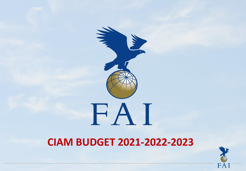



## **CIAM BUDGET 2021-2022-2023**

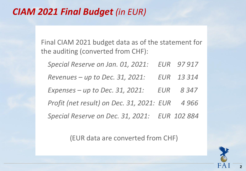#### *CIAM 2021 Final Budget (in EUR)*

Final CIAM 2021 budget data as of the statement for the auditing (converted from CHF):

*Special Reserve on Jan. 01, 2021: EUR 97 917 Revenues – up to Dec. 31, 2021: EUR 13 314 Expenses – up to Dec. 31, 2021: EUR 8 347 Profit (net result) on Dec. 31, 2021: EUR 4 966 Special Reserve on Dec. 31, 2021: EUR 102 884*

(EUR data are converted from CHF)

**2**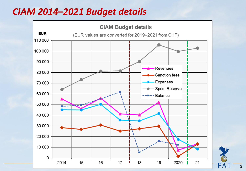#### *CIAM 2014–2021 Budget details*



**3**

F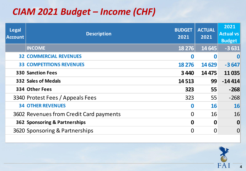## *CIAM 2021 Budget – Income (CHF)*

| <b>Legal</b><br><b>Account</b> | <b>Description</b>                      | <b>BUDGET</b><br>2021 | <b>ACTUAL</b><br>2021 | 2021<br><b>Actual vs</b><br><b>Budget</b> |
|--------------------------------|-----------------------------------------|-----------------------|-----------------------|-------------------------------------------|
|                                | <b>INCOME</b>                           | 18 276                | 14 645                | $-3631$                                   |
|                                | <b>32 COMMERCIAL REVENUES</b>           | $\boldsymbol{0}$      | $\boldsymbol{0}$      | $\bf{0}$                                  |
|                                | <b>33 COMPETITIONS REVENUES</b>         | 18 276                | 14 6 29               | $-3647$                                   |
|                                | <b>330 Sanction Fees</b>                | 3440                  | 14 4 7 5              | 11035                                     |
|                                | <b>332 Sales of Medals</b>              | 14 5 13               | 99                    | $-144414$                                 |
|                                | 334 Other Fees                          | 323                   | 55                    | $-268$                                    |
|                                | 3340 Protest Fees / Appeals Fees        | 323                   | 55                    | $-268$                                    |
|                                | <b>34 OTHER REVENUES</b>                | $\boldsymbol{0}$      | 16                    | 16                                        |
|                                | 3602 Revenues from Credit Card payments | $\Omega$              | 16                    | 16                                        |
|                                | 362 Sponsoring & Partnerships           | $\boldsymbol{0}$      | $\mathbf 0$           | $\boldsymbol{0}$                          |
|                                | 3620 Sponsoring & Partnerships          | 0                     | $\overline{0}$        | $\overline{0}$                            |

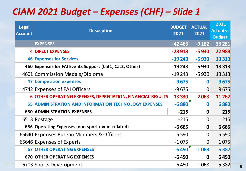## *CIAM 2021 Budget – Expenses (CHF) – Slide 1*

| <b>Legal</b><br><b>Account</b> | <b>Description</b>                                                 | <b>BUDGET</b><br>2021 | <b>ACTUAL</b><br>2021 | 2021<br><b>Actual vs</b><br><b>Budget</b> |
|--------------------------------|--------------------------------------------------------------------|-----------------------|-----------------------|-------------------------------------------|
|                                | <b>EXPENSES</b>                                                    | $-42463$              | $-9182$               | 33 281                                    |
|                                | <b>4 DIRECT EXPENSES</b>                                           | $-28918$              | $-5930$               | 22 988                                    |
|                                | <b>46 Expenses for Services</b>                                    | $-19243$              | $-5930$               | 13 3 13                                   |
|                                | 460 Expenses for FAI Events Support (Cat1, Cat2, Other)            | $-19243$              | $-5930$               | 13 3 13                                   |
|                                | 4601 Commission Medals/Diploma                                     | $-19243$              | $-5930$               | 13 3 13                                   |
|                                | <b>47 Competition expenses</b>                                     | $-9675$               | $\bf{0}$              | 9675                                      |
|                                | 4742 Expenses of FAI Officers                                      | $-9675$               | $\overline{0}$        | 9675                                      |
|                                | <b>6 OTHER OPERATING EXPENSES, DEPRECIATION, FINANCIAL RESULTS</b> | $-13330$              | $-2063$               | 11 267                                    |
|                                | <b>65 ADMINISTRATION AND INFORMATION TECHNOLOGY EXPENSES</b>       | $-6880$               | $\bf{0}$              | 6880                                      |
|                                | <b>650 ADMINISTRATION EXPENSES</b>                                 | $-215$                | $\mathbf{0}$          | 215                                       |
|                                | 6513 Postage                                                       | $-215$                | $\Omega$              | 215                                       |
|                                | 656 Operating Expenses (non-sport event related)                   | $-6665$               | $\mathbf 0$           | 6665                                      |
|                                | 65640 Expenses Bureau Members & Officers                           | $-5590$               | $\overline{0}$        | 5 5 9 0                                   |
|                                | 65646 Expenses of Experts                                          | $-1075$               | $\overline{0}$        | 1075                                      |
|                                | <b>67 OTHER OPERATING EXPENSES</b>                                 | $-6450$               | $-1068$               | 5 3 8 2                                   |
|                                | <b>670 OTHER OPERATING EXPENSES</b>                                | $-6450$               | $\mathbf 0$           | 6450                                      |
|                                | 6703 Sports Development                                            | $-6450$               | $-1068$               | 5 3 8 2                                   |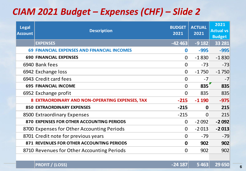## *CIAM 2021 Budget – Expenses (CHF) – Slide 2*

| <b>Legal</b><br><b>Account</b> | <b>Description</b>                                 | <b>BUDGET</b><br>2021 | <b>ACTUAL</b><br>2021 | 2021<br><b>Actual vs</b><br><b>Budget</b> |
|--------------------------------|----------------------------------------------------|-----------------------|-----------------------|-------------------------------------------|
|                                | <b>EXPENSES</b>                                    | $-42463$              | $-9182$               | 33 281                                    |
|                                | <b>69 FINANCIAL EXPENSES AND FINANCIAL INCOMES</b> | $\bf{0}$              | $-995$                | $-995$                                    |
|                                | <b>690 FINANCIAL EXPENSES</b>                      | $\Omega$              | $-1830$               | $-1830$                                   |
|                                | 6940 Bank fees                                     | $\Omega$              | $-73$                 | $-73$                                     |
|                                | 6942 Exchange loss                                 | $\Omega$              | $-1750$               | $-1750$                                   |
|                                | 6943 Credit card fees                              | $\Omega$              | $-7$                  | $-7$                                      |
|                                | <b>695 FINANCIAL INCOME</b>                        | $\Omega$              | 835                   | 835                                       |
|                                | 6952 Exchange profit                               | $\Omega$              | 835                   | 835                                       |
|                                | 8 EXTRAORDINARY AND NON-OPERATING EXPENSES, TAX    | $-215$                | $-1190$               | $-975$                                    |
|                                | <b>850 EXTRAORDINARY EXPENSES</b>                  | $-215$                | $\mathbf{0}$          | 215                                       |
|                                | 8500 Extraordinary Expenses                        | $-215$                | $\Omega$              | 215                                       |
|                                | 870 EXPENSES FOR OTHER ACCOUNTING PERIODS          | $\Omega$              | $-2092$               | $-2092$                                   |
|                                | 8700 Expenses for Other Accounting Periods         | $\Omega$              | $-2013$               | $-2013$                                   |
|                                | 8701 Credit note for previous years                | $\Omega$              | $-79$                 | $-79$                                     |
|                                | 871 REVENUES FOR OTHER ACCOUNTING PERIODS          | $\mathbf 0$           | 902                   | 902                                       |
|                                | 8710 Revenues for Other Accounting Periods         | $\overline{0}$        | 902                   | 902                                       |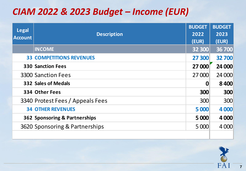## *CIAM 2022 & 2023 Budget – Income (EUR)*

| <b>Legal</b><br><b>Account</b> | <b>Description</b>               | <b>BUDGET</b> | <b>BUDGET</b> |
|--------------------------------|----------------------------------|---------------|---------------|
|                                |                                  | 2022          | 2023          |
|                                |                                  | (EUR)         | (EUR)         |
|                                | <b>INCOME</b>                    | 32 300        | 36 700        |
|                                | <b>33 COMPETITIONS REVENUES</b>  | 27 300        | 32 700        |
|                                | <b>330 Sanction Fees</b>         | <b>27 000</b> | 24 000        |
|                                | <b>3300 Sanction Fees</b>        | 27 000        | 24 000        |
|                                | 332 Sales of Medals              | 0             | 8400          |
|                                | 334 Other Fees                   | 300           | 300           |
|                                | 3340 Protest Fees / Appeals Fees | 300           | 300           |
|                                | <b>34 OTHER REVENUES</b>         | 5 000         | 4 0 0 0       |
|                                | 362 Sponsoring & Partnerships    | 5 000         | 4 0 0 0       |
|                                | 3620 Sponsoring & Partnerships   | 5 000         | 4 0 0 0       |
|                                |                                  |               |               |

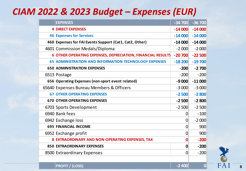#### *CIAM 2022 & 2023 Budget – Expenses (EUR)*

| <b>EXPENSES</b>                                              | $-34700$       | $-36700$                                                                                                                                                                                                              |
|--------------------------------------------------------------|----------------|-----------------------------------------------------------------------------------------------------------------------------------------------------------------------------------------------------------------------|
| <b>4 DIRECT EXPENSES</b>                                     |                | $-14000$                                                                                                                                                                                                              |
| <b>46 Expenses for Services</b>                              |                | $-14000$                                                                                                                                                                                                              |
| 460 Expenses for FAI Events Support (Cat1, Cat2, Other)      |                | $-14000$                                                                                                                                                                                                              |
| 4601 Commission Medals/Diploma                               |                | $-2000$                                                                                                                                                                                                               |
|                                                              |                | $-22500$                                                                                                                                                                                                              |
| <b>65 ADMINISTRATION AND INFORMATION TECHNOLOGY EXPENSES</b> |                | $-19700$                                                                                                                                                                                                              |
| <b>650 ADMINISTRATION EXPENSES</b>                           | $-200$         | $-2700$                                                                                                                                                                                                               |
| 6513 Postage                                                 | $-200$         | $-200$                                                                                                                                                                                                                |
| 656 Operating Expenses (non-sport event related)             |                | $-11000$                                                                                                                                                                                                              |
| 65640 Expenses Bureau Members & Officers                     |                | $-3000$                                                                                                                                                                                                               |
| <b>67 OTHER OPERATING EXPENSES</b>                           |                | $-2800$                                                                                                                                                                                                               |
| <b>670 OTHER OPERATING EXPENSES</b>                          |                | $-2800$                                                                                                                                                                                                               |
| 6703 Sports Development                                      |                | $-2500$                                                                                                                                                                                                               |
| 6940 Bank fees                                               |                | $-100$                                                                                                                                                                                                                |
| 6942 Exchange loss                                           |                | $-2000$                                                                                                                                                                                                               |
| <b>695 FINANCIAL INCOME</b><br>0                             |                | 900                                                                                                                                                                                                                   |
| 6952 Exchange profit                                         |                | 900                                                                                                                                                                                                                   |
| 8 EXTRAORDINARY AND NON-OPERATING EXPENSES, TAX<br>0         |                | $-200$                                                                                                                                                                                                                |
| <b>850 EXTRAORDINARY EXPENSES</b>                            | 0              | $-200$                                                                                                                                                                                                                |
| 8500 Extraordinary Expenses                                  | $\overline{0}$ | $-200$                                                                                                                                                                                                                |
|                                                              |                |                                                                                                                                                                                                                       |
|                                                              |                | $-14000$<br>$-14000$<br>$-14000$<br>$-2000$<br>6 OTHER OPERATING EXPENSES, DEPRECIATION, FINANCIAL RESULTS<br>$-20700$<br>$-18200$<br>$-9000$<br>$-3000$<br>$-2500$<br>$-2500$<br>$-2500$<br>0<br>0<br>$\overline{0}$ |

FA<sub>1</sub>

**PROFIT / (LOSS) -2 400 0**